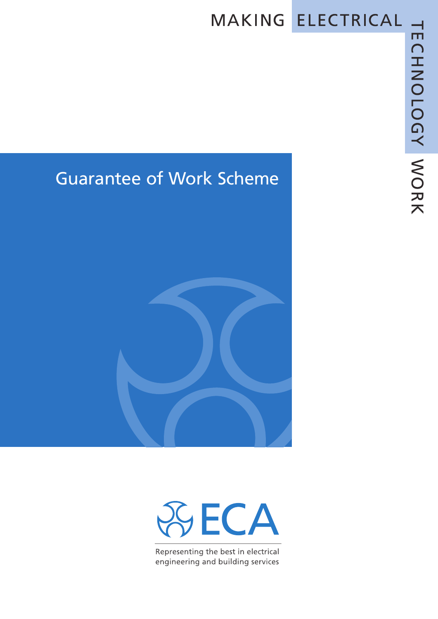## MAKING ELECTRICAL

## Guarantee of Work Scheme





Representing the best in electrical engineering and building services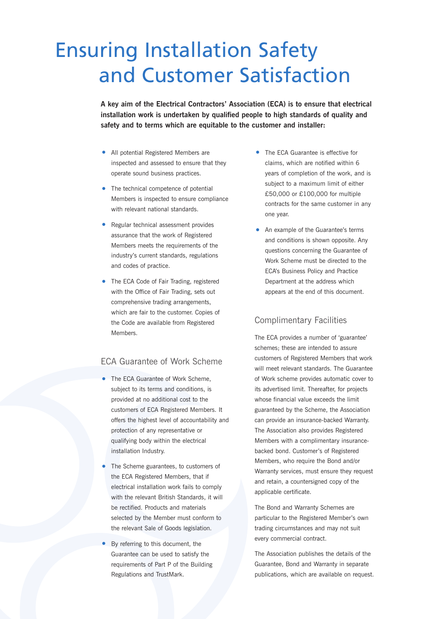## Ensuring Installation Safety and Customer Satisfaction

**A key aim of the Electrical Contractors' Association (ECA) is to ensure that electrical installation work is undertaken by qualified people to high standards of quality and safety and to terms which are equitable to the customer and installer:**

- All potential Registered Members are inspected and assessed to ensure that they operate sound business practices.
- The technical competence of potential Members is inspected to ensure compliance with relevant national standards.
- Regular technical assessment provides assurance that the work of Registered Members meets the requirements of the industry's current standards, regulations and codes of practice.
- The ECA Code of Fair Trading, registered with the Office of Fair Trading, sets out comprehensive trading arrangements, which are fair to the customer. Copies of the Code are available from Registered **Members**

#### ECA Guarantee of Work Scheme

- The ECA Guarantee of Work Scheme, subject to its terms and conditions, is provided at no additional cost to the customers of ECA Registered Members. It offers the highest level of accountability and protection of any representative or qualifying body within the electrical installation Industry.
- The Scheme guarantees, to customers of the ECA Registered Members, that if electrical installation work fails to comply with the relevant British Standards, it will be rectified. Products and materials selected by the Member must conform to the relevant Sale of Goods legislation.
- By referring to this document, the Guarantee can be used to satisfy the requirements of Part P of the Building Regulations and TrustMark.
- The ECA Guarantee is effective for claims, which are notified within 6 years of completion of the work, and is subject to a maximum limit of either £50,000 or £100,000 for multiple contracts for the same customer in any one year.
- An example of the Guarantee's terms and conditions is shown opposite. Any questions concerning the Guarantee of Work Scheme must be directed to the ECA's Business Policy and Practice Department at the address which appears at the end of this document.

#### Complimentary Facilities

The ECA provides a number of 'guarantee' schemes; these are intended to assure customers of Registered Members that work will meet relevant standards. The Guarantee of Work scheme provides automatic cover to its advertised limit. Thereafter, for projects whose financial value exceeds the limit guaranteed by the Scheme, the Association can provide an insurance-backed Warranty. The Association also provides Registered Members with a complimentary insurancebacked bond. Customer's of Registered Members, who require the Bond and/or Warranty services, must ensure they request and retain, a countersigned copy of the applicable certificate.

The Bond and Warranty Schemes are particular to the Registered Member's own trading circumstances and may not suit every commercial contract.

The Association publishes the details of the Guarantee, Bond and Warranty in separate publications, which are available on request.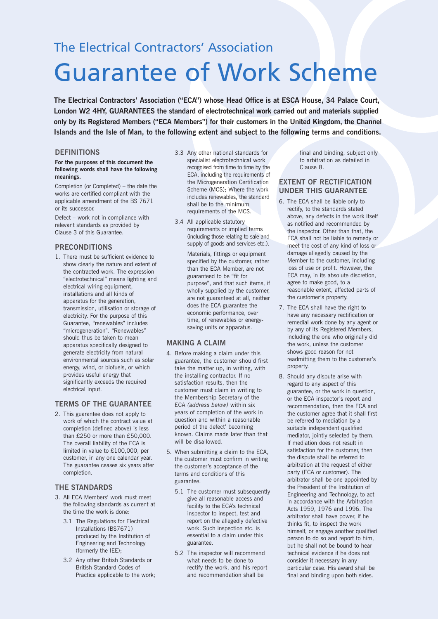### The Electrical Contractors' Association

# Guarantee of Work Scheme

**The Electrical Contractors' Association ("ECA") whose Head Office is at ESCA House, 34 Palace Court, London W2 4HY, GUARANTEES the standard of electrotechnical work carried out and materials supplied only by its Registered Members ("ECA Members") for their customers in the United Kingdom, the Channel** Islands and the Isle of Man, to the following extent and subject to the following terms and conditions.

#### **DEFINITIONS**

#### **For the purposes of this document the following words shall have the following meanings.**

Completion (or Completed) – the date the works are certified compliant with the applicable amendment of the BS 7671 or its successor.

Defect – work not in compliance with relevant standards as provided by Clause 3 of this Guarantee.

#### **PRECONDITIONS**

1. There must be sufficient evidence to show clearly the nature and extent of the contracted work. The expression "electrotechnical" means lighting and electrical wiring equipment, installations and all kinds of apparatus for the generation, transmission, utilisation or storage of electricity. For the purpose of this Guarantee, "renewables" includes "microgeneration". "Renewables" should thus be taken to mean apparatus specifically designed to generate electricity from natural environmental sources such as solar energy, wind, or biofuels, or which provides useful energy that significantly exceeds the required electrical input.

#### **TERMS OF THE GUARANTEE**

2. This guarantee does not apply to work of which the contract value at completion (defined above) is less than £250 or more than £50,000. The overall liability of the ECA is limited in value to £100,000, per customer, in any one calendar year. The guarantee ceases six years after completion.

#### **THE STANDARDS**

- 3. All ECA Members' work must meet the following standards as current at the time the work is done:
	- 3.1 The Regulations for Electrical Installations (BS7671) produced by the Institution of Engineering and Technology (formerly the IEE);
	- 3.2 Any other British Standards or British Standard Codes of Practice applicable to the work;
- 3.3 Any other national standards for specialist electrotechnical work recognised from time to time by the ECA, including the requirements of the Microgeneration Certification Scheme (MCS); Where the work includes renewables, the standard shall be to the minimum requirements of the MCS.
- 3.4 All applicable statutory requirements or implied terms (including those relating to sale and supply of goods and services etc.).

Materials, fittings or equipment specified by the customer, rather than the ECA Member, are not guaranteed to be "fit for purpose", and that such items, if wholly supplied by the customer, are not guaranteed at all, neither does the ECA guarantee the economic performance, over time, of renewables or energysaving units or apparatus.

#### **MAKING A CLAIM**

- 4. Before making a claim under this guarantee, the customer should first take the matter up, in writing, with the installing contractor. If no satisfaction results, then the customer must claim in writing to the Membership Secretary of the ECA *(address below)* within six years of completion of the work in question and within a reasonable period of the defect' becoming known. Claims made later than that will be disallowed.
- 5. When submitting a claim to the ECA, the customer must confirm in writing the customer's acceptance of the terms and conditions of this guarantee.
	- 5.1 The customer must subsequently give all reasonable access and facility to the ECA's technical inspector to inspect, test and report on the allegedly defective work. Such inspection etc. is essential to a claim under this guarantee.
	- 5.2 The inspector will recommend what needs to be done to rectify the work, and his report and recommendation shall be

final and binding, subject only to arbitration as detailed in Clause 8.

#### **EXTENT OF RECTIFICATION UNDER THIS GUARANTEE**

- 6. The ECA shall be liable only to rectify, to the standards stated above, any defects in the work itself as notified and recommended by the inspector. Other than that, the ECA shall not be liable to remedy or meet the cost of any kind of loss or damage allegedly caused by the Member to the customer, including loss of use or profit. However, the ECA may, in its absolute discretion, agree to make good, to a reasonable extent, affected parts of the customer's property.
- 7. The ECA shall have the right to have any necessary rectification or remedial work done by any agent or by any of its Registered Members, including the one who originally did the work, unless the customer shows good reason for not readmitting them to the customer's property.
- 8. Should any dispute arise with regard to any aspect of this guarantee, or the work in question, or the ECA inspector's report and recommendation, then the ECA and the customer agree that it shall first be referred to mediation by a suitable independent qualified mediator, jointly selected by them. If mediation does not result in satisfaction for the customer, then the dispute shall be referred to arbitration at the request of either party (ECA or customer). The arbitrator shall be one appointed by the President of the Institution of Engineering and Technology, to act in accordance with the Arbitration Acts 1959, 1976 and 1996. The arbitrator shall have power, if he thinks fit, to inspect the work himself, or engage another qualified person to do so and report to him, but he shall not be bound to hear technical evidence if he does not consider it necessary in any particular case. His award shall be final and binding upon both sides.